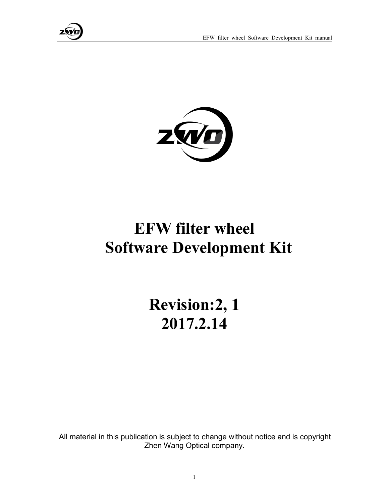



# **EFW filter wheel Software Development Kit**

**Revision:2, 1 2017.2.14**

All material in this publication is subject to change without notice and is copyright Zhen Wang Optical company.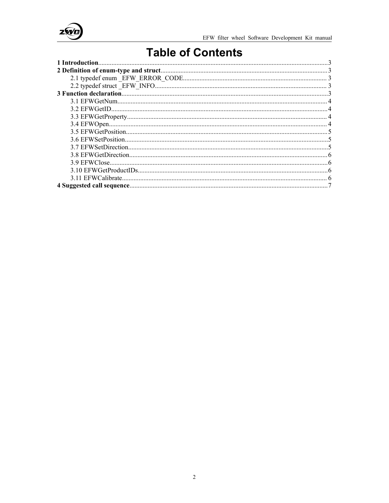

## **Table of Contents**

| 1 Introduction |  |
|----------------|--|
|                |  |
|                |  |
|                |  |
|                |  |
|                |  |
|                |  |
|                |  |
|                |  |
|                |  |
|                |  |
|                |  |
|                |  |
|                |  |
|                |  |
|                |  |
|                |  |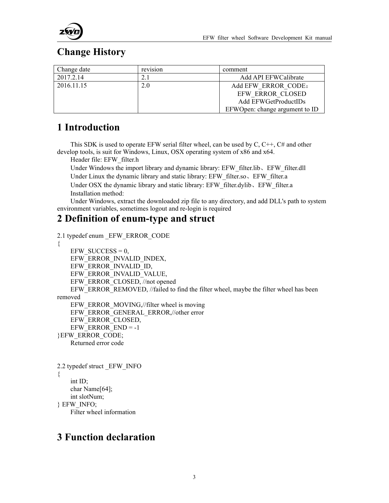



### <span id="page-2-0"></span>**Change History**

| Change date | $\cdot$ $\cdot$<br>revision | comment                        |
|-------------|-----------------------------|--------------------------------|
| 2017.2.14   | 4.1                         | Add API EFWCalibrate           |
| 2016.11.15  | 2.0                         | Add EFW ERROR CODE:            |
|             |                             | EFW ERROR CLOSED               |
|             |                             | Add EFWGetProductIDs           |
|             |                             | EFWOpen: change argument to ID |

#### **1 Introduction**

This SDK is used to operate EFW serial filter wheel, can be used by  $C, C^{++}, C^{+}$  and other develop tools, is suit for Windows, Linux, OSX operating system of x86 and x64.

Header file: EFW\_filter.h

Under Windows the import library and dynamic library: EFW\_filter.lib、EFW\_filter.dll Under Linux the dynamic library and static library: EFW\_filter.so、EFW\_filter.a Under OSX the dynamic library and static library: EFW\_filter.dylib、EFW\_filter.a Installation method:

Under Windows, extract the downloaded zip file to any directory, and add DLL's path to system environment variables, sometimes logout and re-login is required

#### **2 Definition of enum-type and struct**

2.1 typedef enum \_EFW\_ERROR\_CODE

```
\{EFW SUCCESS = 0,
   EFW_ERROR_INVALID_INDEX, EFW_ERROR_INVALID_ID, EFW_ERROR_INVALID_VALUE, EFW_ERROR_CLOSED, //not opened
   EFW_ERROR_REMOVED, //failed to find the filter wheel, maybe the filter wheel has been
removed
   EFW_ERROR_MOVING,//filter wheel is moving
   EFW_ERROR_GENERAL_ERROR,//other error
   EFW_ERROR_CLOSED, EFW ERROR END = -1}EFW_ERROR_CODE;
   Returned error code
2.2 typedef struct _EFW_INFO
\{int ID;
   char Name[64];
   int slotNum;
} EFW_INFO;
```
Filter wheel information

#### **3 [Function](javascript:void(0);) [declaration](javascript:void(0);)**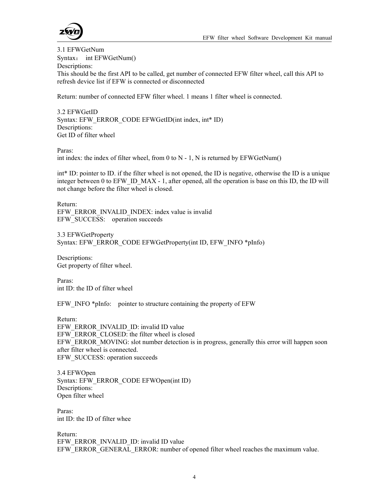

<span id="page-3-0"></span>3.1 EFWGetNum Syntax: int EFWGetNum() Descriptions: This should be the first API to be called, get number of connected EFW filter wheel, call this API to refresh device list if EFW is connected or disconnected

Return: number of connected EFW filter wheel. 1 means 1 filter wheel is connected.

3.2 EFWGetID Syntax: EFW\_ERROR\_CODE EFWGetID(int index, int\* ID) Descriptions: Get ID of filter wheel

Paras:

int index: the index of filter wheel, from 0 to  $N - 1$ , N is returned by EFWGetNum()

int\* ID: pointer to ID. if the filter wheel is not opened, the ID is negative, otherwise the ID is a unique integer between 0 to EFW\_ID\_MAX - 1, after opened, all the operation is base on this ID, the ID will not change before the filter wheel is closed.

Return: EFW\_ERROR\_INVALID\_INDEX: index value is invalid EFW\_SUCCESS: operation succeeds

3.3 EFWGetProperty Syntax: EFW\_ERROR\_CODE EFWGetProperty(int ID, EFW\_INFO \*pInfo)

Descriptions: Get property of filter wheel.

Paras: int ID: the ID of filter wheel

EFW INFO \*pInfo: pointer to structure containing the property of EFW

Return: EFW\_ERROR\_INVALID\_ID: invalid ID value EFW\_ERROR\_CLOSED: the filter wheel is closed EFW\_ERROR\_MOVING: slot number detection is in progress, generally this error will happen soon after filter wheel is connected. EFW\_SUCCESS: operation succeeds

3.4 EFWOpen Syntax: EFW\_ERROR\_CODE EFWOpen(int ID) Descriptions: Open filter wheel

Paras: int ID: the ID of filter whee

Return: EFW\_ERROR\_INVALID\_ID: invalid ID value EFW\_ERROR\_GENERAL\_ERROR: number of opened filter wheel reaches the maximum value.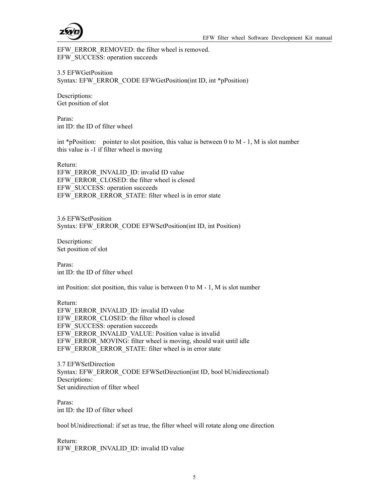

<span id="page-4-0"></span>EFW\_ERROR\_REMOVED: the filter wheel is removed. EFW\_SUCCESS: operation succeeds

3.5 EFWGetPosition Syntax: EFW\_ERROR\_CODE EFWGetPosition(int ID, int \*pPosition)

Descriptions: Get position of slot

Paras: int ID: the ID of filter wheel

int \*pPosition: pointer to slot position, this value is between 0 to M - 1, M is slot number this value is -1 if filter wheel is moving

Return: EFW\_ERROR\_INVALID\_ID: invalid ID value EFW\_ERROR\_CLOSED: the filter wheel is closed EFW\_SUCCESS: operation succeeds EFW\_ERROR\_ERROR\_STATE: filter wheel is in error state

3.6 EFWSetPosition Syntax: EFW\_ERROR\_CODE EFWSetPosition(int ID, int Position)

Descriptions: Set position of slot

Paras: int ID: the ID of filter wheel

int Position: slot position, this value is between 0 to M - 1, M is slot number

Return: EFW\_ERROR\_INVALID\_ID: invalid ID value EFW\_ERROR\_CLOSED: the filter wheel is closed EFW\_SUCCESS: operation succeeds EFW\_ERROR\_INVALID\_VALUE: Position value is invalid EFW\_ERROR\_MOVING: filter wheel is moving, should wait until idle EFW\_ERROR\_ERROR\_STATE: filter wheel is in error state

3.7 EFWSetDirection Syntax: EFW\_ERROR\_CODE EFWSetDirection(int ID, bool bUnidirectional) Descriptions: Set unidirection of filter wheel

Paras: int ID: the ID of filter wheel

bool bUnidirectional: if set as true, the filter wheel will rotate along one direction

Return: EFW\_ERROR\_INVALID\_ID: invalid ID value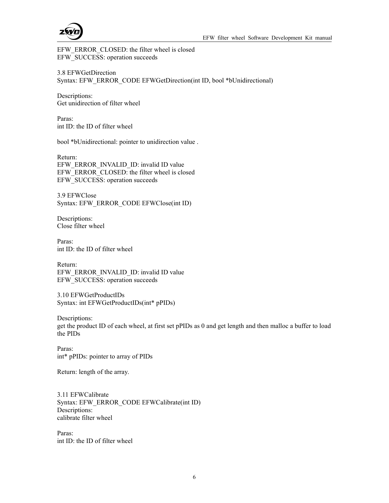

<span id="page-5-0"></span>EFW\_ERROR\_CLOSED: the filter wheel is closed EFW\_SUCCESS: operation succeeds

3.8 EFWGetDirection Syntax: EFW\_ERROR\_CODE EFWGetDirection(int ID, bool \*bUnidirectional)

Descriptions: Get unidirection of filter wheel

Paras: int ID: the ID of filter wheel

bool \*bUnidirectional: pointer to unidirection value .

Return: EFW\_ERROR\_INVALID\_ID: invalid ID value EFW\_ERROR\_CLOSED: the filter wheel is closed EFW\_SUCCESS: operation succeeds

3.9 EFWClose Syntax: EFW\_ERROR\_CODE EFWClose(int ID)

Descriptions: Close filter wheel

Paras: int ID: the ID of filter wheel

Return: EFW\_ERROR\_INVALID\_ID: invalid ID value EFW\_SUCCESS: operation succeeds

3.10 EFWGetProductIDs Syntax: int EFWGetProductIDs(int\* pPIDs)

Descriptions: get the product ID of each wheel, at first set pPIDs as 0 and get length and then malloc a buffer to load the PIDs

Paras: int\* pPIDs: pointer to array of PIDs

Return: length of the array.

3.11 EFWCalibrate Syntax: EFW\_ERROR\_CODE EFWCalibrate(int ID) Descriptions: calibrate filter wheel

Paras: int ID: the ID of filter wheel